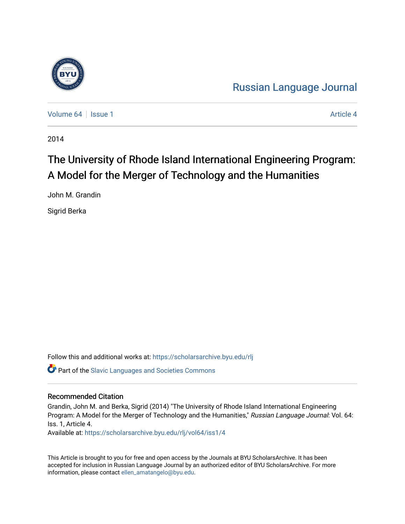

[Russian Language Journal](https://scholarsarchive.byu.edu/rlj) 

[Volume 64](https://scholarsarchive.byu.edu/rlj/vol64) | [Issue 1](https://scholarsarchive.byu.edu/rlj/vol64/iss1) [Article 4](https://scholarsarchive.byu.edu/rlj/vol64/iss1/4) | Article 4 Article 4 | Article 4 Article 4 | Article 4 Article 4 | Article 4 | Article 4 | Article 4 | Article 4 | Article 4 | Article 4 | Article 4 | Article 4 | Article 4 | Article 4 | Arti

2014

# The University of Rhode Island International Engineering Program: A Model for the Merger of Technology and the Humanities

John M. Grandin

Sigrid Berka

Follow this and additional works at: [https://scholarsarchive.byu.edu/rlj](https://scholarsarchive.byu.edu/rlj?utm_source=scholarsarchive.byu.edu%2Frlj%2Fvol64%2Fiss1%2F4&utm_medium=PDF&utm_campaign=PDFCoverPages) **C** Part of the Slavic Languages and Societies Commons

#### Recommended Citation

Grandin, John M. and Berka, Sigrid (2014) "The University of Rhode Island International Engineering Program: A Model for the Merger of Technology and the Humanities," Russian Language Journal: Vol. 64: Iss. 1, Article 4.

Available at: [https://scholarsarchive.byu.edu/rlj/vol64/iss1/4](https://scholarsarchive.byu.edu/rlj/vol64/iss1/4?utm_source=scholarsarchive.byu.edu%2Frlj%2Fvol64%2Fiss1%2F4&utm_medium=PDF&utm_campaign=PDFCoverPages) 

This Article is brought to you for free and open access by the Journals at BYU ScholarsArchive. It has been accepted for inclusion in Russian Language Journal by an authorized editor of BYU ScholarsArchive. For more information, please contact [ellen\\_amatangelo@byu.edu.](mailto:ellen_amatangelo@byu.edu)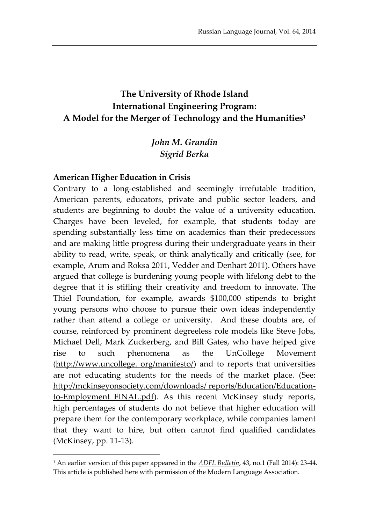# **The University of Rhode Island International Engineering Program: A Model for the Merger of Technology and the Humanities<sup>1</sup>**

# *John M. Grandin Sigrid Berka*

#### **American Higher Education in Crisis**

 $\overline{a}$ 

Contrary to a long-established and seemingly irrefutable tradition, American parents, educators, private and public sector leaders, and students are beginning to doubt the value of a university education. Charges have been leveled, for example, that students today are spending substantially less time on academics than their predecessors and are making little progress during their undergraduate years in their ability to read, write, speak, or think analytically and critically (see, for example, Arum and Roksa 2011, Vedder and Denhart 2011). Others have argued that college is burdening young people with lifelong debt to the degree that it is stifling their creativity and freedom to innovate. The Thiel Foundation, for example, awards \$100,000 stipends to bright young persons who choose to pursue their own ideas independently rather than attend a college or university. And these doubts are, of course, reinforced by prominent degreeless role models like Steve Jobs, Michael Dell, Mark Zuckerberg, and Bill Gates, who have helped give rise to such phenomena as the UnCollege Movement (http://www.uncollege. org/manifesto/) and to reports that universities are not educating students for the needs of the market place. (See: http://mckinseyonsociety.com/downloads/ reports/Education/Educationto-Employment FINAL.pdf). As this recent McKinsey study reports, high percentages of students do not believe that higher education will prepare them for the contemporary workplace, while companies lament that they want to hire, but often cannot find qualified candidates (McKinsey, pp. 11-13).

<sup>1</sup> An earlier version of this paper appeared in the *ADFL Bulletin*, 43, no.1 (Fall 2014): 23-44. This article is published here with permission of the Modern Language Association.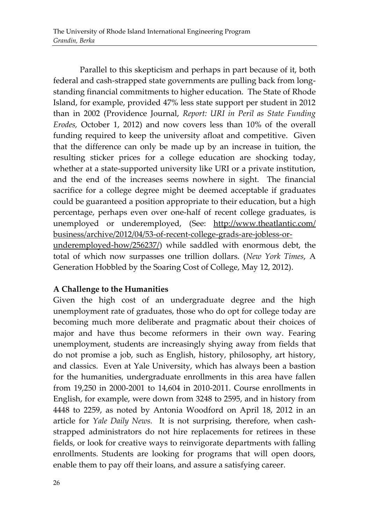Parallel to this skepticism and perhaps in part because of it, both federal and cash-strapped state governments are pulling back from longstanding financial commitments to higher education. The State of Rhode Island, for example, provided 47% less state support per student in 2012 than in 2002 (Providence Journal, *Report: URI in Peril as State Funding Erodes,* October 1, 2012) and now covers less than 10% of the overall funding required to keep the university afloat and competitive. Given that the difference can only be made up by an increase in tuition, the resulting sticker prices for a college education are shocking today, whether at a state-supported university like URI or a private institution, and the end of the increases seems nowhere in sight. The financial sacrifice for a college degree might be deemed acceptable if graduates could be guaranteed a position appropriate to their education, but a high percentage, perhaps even over one-half of recent college graduates, is unemployed or underemployed, (See: http://www.theatlantic.com/ business/archive/2012/04/53-of-recent-college-grads-are-jobless-orunderemployed-how/256237/) while saddled with enormous debt, the total of which now surpasses one trillion dollars. (*New York Times*, A Generation Hobbled by the Soaring Cost of College, May 12, 2012).

# **A Challenge to the Humanities**

Given the high cost of an undergraduate degree and the high unemployment rate of graduates, those who do opt for college today are becoming much more deliberate and pragmatic about their choices of major and have thus become reformers in their own way. Fearing unemployment, students are increasingly shying away from fields that do not promise a job, such as English, history, philosophy, art history, and classics. Even at Yale University, which has always been a bastion for the humanities, undergraduate enrollments in this area have fallen from 19,250 in 2000-2001 to 14,604 in 2010-2011. Course enrollments in English, for example, were down from 3248 to 2595, and in history from 4448 to 2259, as noted by Antonia Woodford on April 18, 2012 in an article for *Yale Daily News.* It is not surprising, therefore, when cashstrapped administrators do not hire replacements for retirees in these fields, or look for creative ways to reinvigorate departments with falling enrollments. Students are looking for programs that will open doors, enable them to pay off their loans, and assure a satisfying career.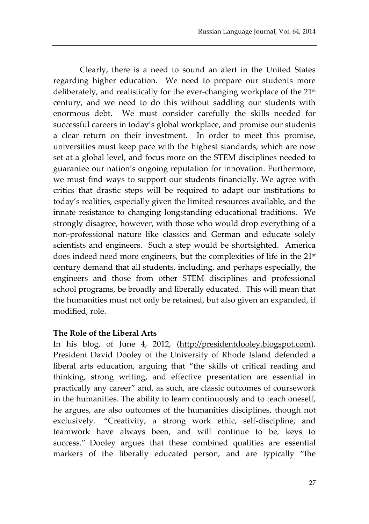Clearly, there is a need to sound an alert in the United States regarding higher education. We need to prepare our students more deliberately, and realistically for the ever-changing workplace of the 21st century, and we need to do this without saddling our students with enormous debt. We must consider carefully the skills needed for successful careers in today's global workplace, and promise our students a clear return on their investment. In order to meet this promise, universities must keep pace with the highest standards, which are now set at a global level, and focus more on the STEM disciplines needed to guarantee our nation's ongoing reputation for innovation. Furthermore, we must find ways to support our students financially. We agree with critics that drastic steps will be required to adapt our institutions to today's realities, especially given the limited resources available, and the innate resistance to changing longstanding educational traditions. We strongly disagree, however, with those who would drop everything of a non-professional nature like classics and German and educate solely scientists and engineers. Such a step would be shortsighted. America does indeed need more engineers, but the complexities of life in the 21st century demand that all students, including, and perhaps especially, the engineers and those from other STEM disciplines and professional school programs, be broadly and liberally educated. This will mean that the humanities must not only be retained, but also given an expanded, if modified, role.

#### **The Role of the Liberal Arts**

In his blog, of June 4, 2012, (http://presidentdooley.blogspot.com), President David Dooley of the University of Rhode Island defended a liberal arts education, arguing that "the skills of critical reading and thinking, strong writing, and effective presentation are essential in practically any career" and, as such, are classic outcomes of coursework in the humanities. The ability to learn continuously and to teach oneself, he argues, are also outcomes of the humanities disciplines, though not exclusively. "Creativity, a strong work ethic, self-discipline, and teamwork have always been, and will continue to be, keys to success." Dooley argues that these combined qualities are essential markers of the liberally educated person, and are typically "the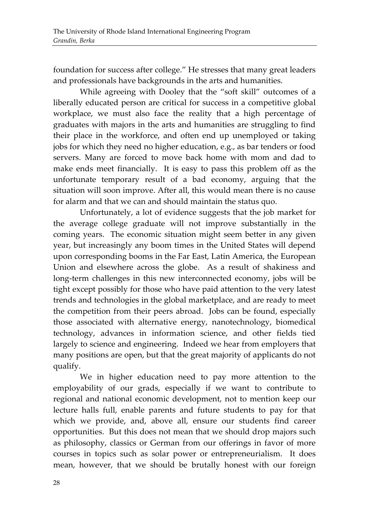foundation for success after college." He stresses that many great leaders and professionals have backgrounds in the arts and humanities.

While agreeing with Dooley that the "soft skill" outcomes of a liberally educated person are critical for success in a competitive global workplace, we must also face the reality that a high percentage of graduates with majors in the arts and humanities are struggling to find their place in the workforce, and often end up unemployed or taking jobs for which they need no higher education, e.g., as bar tenders or food servers. Many are forced to move back home with mom and dad to make ends meet financially. It is easy to pass this problem off as the unfortunate temporary result of a bad economy, arguing that the situation will soon improve. After all, this would mean there is no cause for alarm and that we can and should maintain the status quo.

Unfortunately, a lot of evidence suggests that the job market for the average college graduate will not improve substantially in the coming years. The economic situation might seem better in any given year, but increasingly any boom times in the United States will depend upon corresponding booms in the Far East, Latin America, the European Union and elsewhere across the globe. As a result of shakiness and long-term challenges in this new interconnected economy, jobs will be tight except possibly for those who have paid attention to the very latest trends and technologies in the global marketplace, and are ready to meet the competition from their peers abroad. Jobs can be found, especially those associated with alternative energy, nanotechnology, biomedical technology, advances in information science, and other fields tied largely to science and engineering. Indeed we hear from employers that many positions are open, but that the great majority of applicants do not qualify.

We in higher education need to pay more attention to the employability of our grads, especially if we want to contribute to regional and national economic development, not to mention keep our lecture halls full, enable parents and future students to pay for that which we provide, and, above all, ensure our students find career opportunities. But this does not mean that we should drop majors such as philosophy, classics or German from our offerings in favor of more courses in topics such as solar power or entrepreneurialism. It does mean, however, that we should be brutally honest with our foreign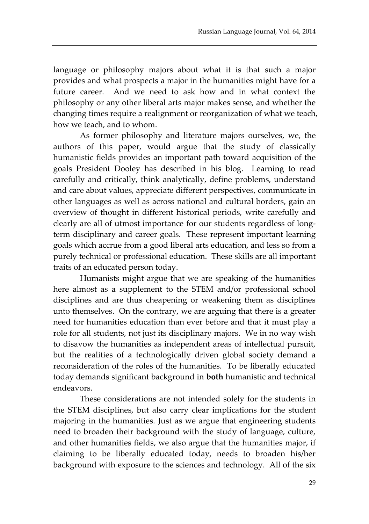language or philosophy majors about what it is that such a major provides and what prospects a major in the humanities might have for a future career. And we need to ask how and in what context the philosophy or any other liberal arts major makes sense, and whether the changing times require a realignment or reorganization of what we teach, how we teach, and to whom.

As former philosophy and literature majors ourselves, we, the authors of this paper, would argue that the study of classically humanistic fields provides an important path toward acquisition of the goals President Dooley has described in his blog. Learning to read carefully and critically, think analytically, define problems, understand and care about values, appreciate different perspectives, communicate in other languages as well as across national and cultural borders, gain an overview of thought in different historical periods, write carefully and clearly are all of utmost importance for our students regardless of longterm disciplinary and career goals. These represent important learning goals which accrue from a good liberal arts education, and less so from a purely technical or professional education. These skills are all important traits of an educated person today.

Humanists might argue that we are speaking of the humanities here almost as a supplement to the STEM and/or professional school disciplines and are thus cheapening or weakening them as disciplines unto themselves. On the contrary, we are arguing that there is a greater need for humanities education than ever before and that it must play a role for all students, not just its disciplinary majors. We in no way wish to disavow the humanities as independent areas of intellectual pursuit, but the realities of a technologically driven global society demand a reconsideration of the roles of the humanities. To be liberally educated today demands significant background in **both** humanistic and technical endeavors.

These considerations are not intended solely for the students in the STEM disciplines, but also carry clear implications for the student majoring in the humanities. Just as we argue that engineering students need to broaden their background with the study of language, culture, and other humanities fields, we also argue that the humanities major, if claiming to be liberally educated today, needs to broaden his/her background with exposure to the sciences and technology. All of the six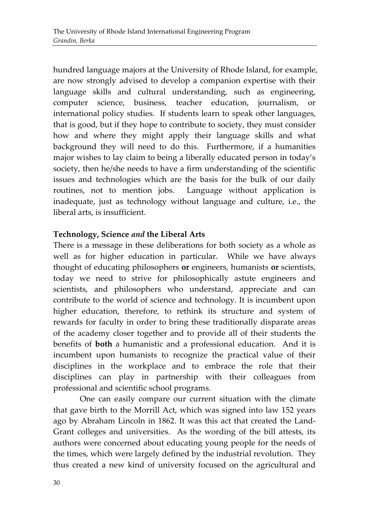hundred language majors at the University of Rhode Island, for example, are now strongly advised to develop a companion expertise with their language skills and cultural understanding, such as engineering, computer science, business, teacher education, journalism, or international policy studies. If students learn to speak other languages, that is good, but if they hope to contribute to society, they must consider how and where they might apply their language skills and what background they will need to do this. Furthermore, if a humanities major wishes to lay claim to being a liberally educated person in today's society, then he/she needs to have a firm understanding of the scientific issues and technologies which are the basis for the bulk of our daily routines, not to mention jobs. Language without application is inadequate, just as technology without language and culture, i.e., the liberal arts, is insufficient.

## **Technology, Science** *and* **the Liberal Arts**

There is a message in these deliberations for both society as a whole as well as for higher education in particular. While we have always thought of educating philosophers **or** engineers, humanists **or** scientists, today we need to strive for philosophically astute engineers and scientists, and philosophers who understand, appreciate and can contribute to the world of science and technology. It is incumbent upon higher education, therefore, to rethink its structure and system of rewards for faculty in order to bring these traditionally disparate areas of the academy closer together and to provide all of their students the benefits of **both** a humanistic and a professional education. And it is incumbent upon humanists to recognize the practical value of their disciplines in the workplace and to embrace the role that their disciplines can play in partnership with their colleagues from professional and scientific school programs.

One can easily compare our current situation with the climate that gave birth to the Morrill Act, which was signed into law 152 years ago by Abraham Lincoln in 1862. It was this act that created the Land-Grant colleges and universities. As the wording of the bill attests, its authors were concerned about educating young people for the needs of the times, which were largely defined by the industrial revolution. They thus created a new kind of university focused on the agricultural and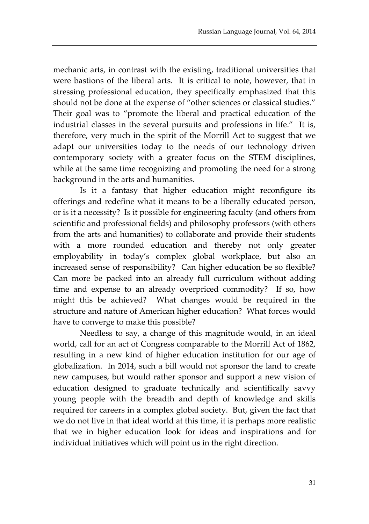mechanic arts, in contrast with the existing, traditional universities that were bastions of the liberal arts. It is critical to note, however, that in stressing professional education, they specifically emphasized that this should not be done at the expense of "other sciences or classical studies." Their goal was to "promote the liberal and practical education of the industrial classes in the several pursuits and professions in life." It is, therefore, very much in the spirit of the Morrill Act to suggest that we adapt our universities today to the needs of our technology driven contemporary society with a greater focus on the STEM disciplines, while at the same time recognizing and promoting the need for a strong background in the arts and humanities.

Is it a fantasy that higher education might reconfigure its offerings and redefine what it means to be a liberally educated person, or is it a necessity? Is it possible for engineering faculty (and others from scientific and professional fields) and philosophy professors (with others from the arts and humanities) to collaborate and provide their students with a more rounded education and thereby not only greater employability in today's complex global workplace, but also an increased sense of responsibility? Can higher education be so flexible? Can more be packed into an already full curriculum without adding time and expense to an already overpriced commodity? If so, how might this be achieved? What changes would be required in the structure and nature of American higher education? What forces would have to converge to make this possible?

Needless to say, a change of this magnitude would, in an ideal world, call for an act of Congress comparable to the Morrill Act of 1862, resulting in a new kind of higher education institution for our age of globalization. In 2014, such a bill would not sponsor the land to create new campuses, but would rather sponsor and support a new vision of education designed to graduate technically and scientifically savvy young people with the breadth and depth of knowledge and skills required for careers in a complex global society. But, given the fact that we do not live in that ideal world at this time, it is perhaps more realistic that we in higher education look for ideas and inspirations and for individual initiatives which will point us in the right direction.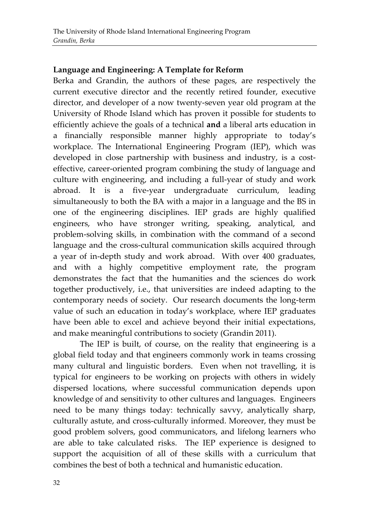#### **Language and Engineering: A Template for Reform**

Berka and Grandin, the authors of these pages, are respectively the current executive director and the recently retired founder, executive director, and developer of a now twenty-seven year old program at the University of Rhode Island which has proven it possible for students to efficiently achieve the goals of a technical **and** a liberal arts education in a financially responsible manner highly appropriate to today's workplace. The International Engineering Program (IEP), which was developed in close partnership with business and industry, is a costeffective, career-oriented program combining the study of language and culture with engineering, and including a full-year of study and work abroad. It is a five-year undergraduate curriculum, leading simultaneously to both the BA with a major in a language and the BS in one of the engineering disciplines. IEP grads are highly qualified engineers, who have stronger writing, speaking, analytical, and problem-solving skills, in combination with the command of a second language and the cross-cultural communication skills acquired through a year of in-depth study and work abroad. With over 400 graduates, and with a highly competitive employment rate, the program demonstrates the fact that the humanities and the sciences do work together productively, i.e., that universities are indeed adapting to the contemporary needs of society. Our research documents the long-term value of such an education in today's workplace, where IEP graduates have been able to excel and achieve beyond their initial expectations, and make meaningful contributions to society (Grandin 2011).

The IEP is built, of course, on the reality that engineering is a global field today and that engineers commonly work in teams crossing many cultural and linguistic borders. Even when not travelling, it is typical for engineers to be working on projects with others in widely dispersed locations, where successful communication depends upon knowledge of and sensitivity to other cultures and languages. Engineers need to be many things today: technically savvy, analytically sharp, culturally astute, and cross-culturally informed. Moreover, they must be good problem solvers, good communicators, and lifelong learners who are able to take calculated risks. The IEP experience is designed to support the acquisition of all of these skills with a curriculum that combines the best of both a technical and humanistic education.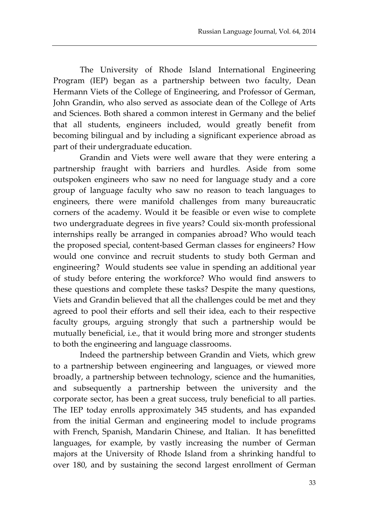The University of Rhode Island International Engineering Program (IEP) began as a partnership between two faculty, Dean Hermann Viets of the College of Engineering, and Professor of German, John Grandin, who also served as associate dean of the College of Arts and Sciences. Both shared a common interest in Germany and the belief that all students, engineers included, would greatly benefit from becoming bilingual and by including a significant experience abroad as part of their undergraduate education.

Grandin and Viets were well aware that they were entering a partnership fraught with barriers and hurdles. Aside from some outspoken engineers who saw no need for language study and a core group of language faculty who saw no reason to teach languages to engineers, there were manifold challenges from many bureaucratic corners of the academy. Would it be feasible or even wise to complete two undergraduate degrees in five years? Could six-month professional internships really be arranged in companies abroad? Who would teach the proposed special, content-based German classes for engineers? How would one convince and recruit students to study both German and engineering? Would students see value in spending an additional year of study before entering the workforce? Who would find answers to these questions and complete these tasks? Despite the many questions, Viets and Grandin believed that all the challenges could be met and they agreed to pool their efforts and sell their idea, each to their respective faculty groups, arguing strongly that such a partnership would be mutually beneficial, i.e., that it would bring more and stronger students to both the engineering and language classrooms.

Indeed the partnership between Grandin and Viets, which grew to a partnership between engineering and languages, or viewed more broadly, a partnership between technology, science and the humanities, and subsequently a partnership between the university and the corporate sector, has been a great success, truly beneficial to all parties. The IEP today enrolls approximately 345 students, and has expanded from the initial German and engineering model to include programs with French, Spanish, Mandarin Chinese, and Italian. It has benefitted languages, for example, by vastly increasing the number of German majors at the University of Rhode Island from a shrinking handful to over 180, and by sustaining the second largest enrollment of German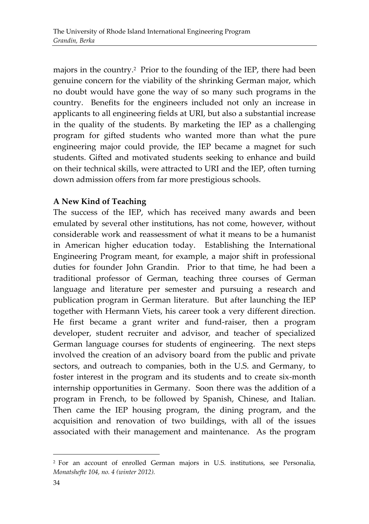majors in the country. 2 Prior to the founding of the IEP, there had been genuine concern for the viability of the shrinking German major, which no doubt would have gone the way of so many such programs in the country. Benefits for the engineers included not only an increase in applicants to all engineering fields at URI, but also a substantial increase in the quality of the students. By marketing the IEP as a challenging program for gifted students who wanted more than what the pure engineering major could provide, the IEP became a magnet for such students. Gifted and motivated students seeking to enhance and build on their technical skills, were attracted to URI and the IEP, often turning down admission offers from far more prestigious schools.

# **A New Kind of Teaching**

The success of the IEP, which has received many awards and been emulated by several other institutions, has not come, however, without considerable work and reassessment of what it means to be a humanist in American higher education today. Establishing the International Engineering Program meant, for example, a major shift in professional duties for founder John Grandin. Prior to that time, he had been a traditional professor of German, teaching three courses of German language and literature per semester and pursuing a research and publication program in German literature. But after launching the IEP together with Hermann Viets, his career took a very different direction. He first became a grant writer and fund-raiser, then a program developer, student recruiter and advisor, and teacher of specialized German language courses for students of engineering. The next steps involved the creation of an advisory board from the public and private sectors, and outreach to companies, both in the U.S. and Germany, to foster interest in the program and its students and to create six-month internship opportunities in Germany. Soon there was the addition of a program in French, to be followed by Spanish, Chinese, and Italian. Then came the IEP housing program, the dining program, and the acquisition and renovation of two buildings, with all of the issues associated with their management and maintenance. As the program

 $\overline{a}$ 

<sup>2</sup> For an account of enrolled German majors in U.S. institutions, see Personalia, *Monatshefte 104, no. 4 (winter 2012).*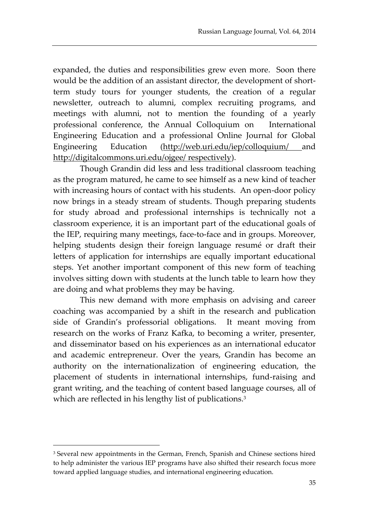expanded, the duties and responsibilities grew even more. Soon there would be the addition of an assistant director, the development of shortterm study tours for younger students, the creation of a regular newsletter, outreach to alumni, complex recruiting programs, and meetings with alumni, not to mention the founding of a yearly professional conference, the Annual Colloquium on International Engineering Education and a professional Online Journal for Global Engineering Education (http://web.uri.edu/iep/colloquium/ and http://digitalcommons.uri.edu/ojgee/ respectively).

Though Grandin did less and less traditional classroom teaching as the program matured, he came to see himself as a new kind of teacher with increasing hours of contact with his students. An open-door policy now brings in a steady stream of students. Though preparing students for study abroad and professional internships is technically not a classroom experience, it is an important part of the educational goals of the IEP, requiring many meetings, face-to-face and in groups. Moreover, helping students design their foreign language resumé or draft their letters of application for internships are equally important educational steps. Yet another important component of this new form of teaching involves sitting down with students at the lunch table to learn how they are doing and what problems they may be having.

This new demand with more emphasis on advising and career coaching was accompanied by a shift in the research and publication side of Grandin's professorial obligations. It meant moving from research on the works of Franz Kafka, to becoming a writer, presenter, and disseminator based on his experiences as an international educator and academic entrepreneur. Over the years, Grandin has become an authority on the internationalization of engineering education, the placement of students in international internships, fund-raising and grant writing, and the teaching of content based language courses, all of which are reflected in his lengthy list of publications.<sup>3</sup>

 $\overline{a}$ 

<sup>3</sup> Several new appointments in the German, French, Spanish and Chinese sections hired to help administer the various IEP programs have also shifted their research focus more toward applied language studies, and international engineering education.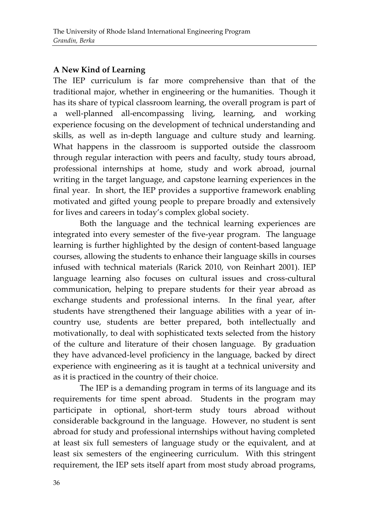## **A New Kind of Learning**

The IEP curriculum is far more comprehensive than that of the traditional major, whether in engineering or the humanities. Though it has its share of typical classroom learning, the overall program is part of a well-planned all-encompassing living, learning, and working experience focusing on the development of technical understanding and skills, as well as in-depth language and culture study and learning. What happens in the classroom is supported outside the classroom through regular interaction with peers and faculty, study tours abroad, professional internships at home, study and work abroad, journal writing in the target language, and capstone learning experiences in the final year. In short, the IEP provides a supportive framework enabling motivated and gifted young people to prepare broadly and extensively for lives and careers in today's complex global society.

Both the language and the technical learning experiences are integrated into every semester of the five-year program. The language learning is further highlighted by the design of content-based language courses, allowing the students to enhance their language skills in courses infused with technical materials (Rarick 2010, von Reinhart 2001). IEP language learning also focuses on cultural issues and cross-cultural communication, helping to prepare students for their year abroad as exchange students and professional interns. In the final year, after students have strengthened their language abilities with a year of incountry use, students are better prepared, both intellectually and motivationally, to deal with sophisticated texts selected from the history of the culture and literature of their chosen language. By graduation they have advanced-level proficiency in the language, backed by direct experience with engineering as it is taught at a technical university and as it is practiced in the country of their choice.

The IEP is a demanding program in terms of its language and its requirements for time spent abroad. Students in the program may participate in optional, short-term study tours abroad without considerable background in the language. However, no student is sent abroad for study and professional internships without having completed at least six full semesters of language study or the equivalent, and at least six semesters of the engineering curriculum. With this stringent requirement, the IEP sets itself apart from most study abroad programs,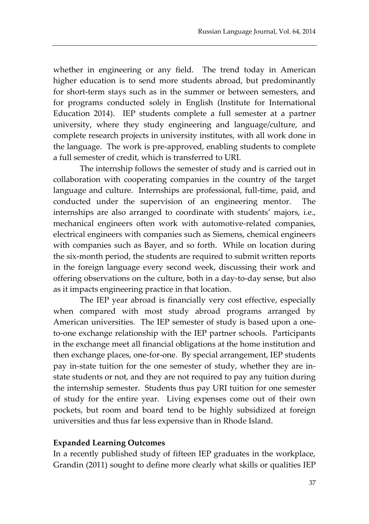whether in engineering or any field. The trend today in American higher education is to send more students abroad, but predominantly for short-term stays such as in the summer or between semesters, and for programs conducted solely in English (Institute for International Education 2014). IEP students complete a full semester at a partner university, where they study engineering and language/culture, and complete research projects in university institutes, with all work done in the language. The work is pre-approved, enabling students to complete a full semester of credit, which is transferred to URI.

The internship follows the semester of study and is carried out in collaboration with cooperating companies in the country of the target language and culture. Internships are professional, full-time, paid, and conducted under the supervision of an engineering mentor. The internships are also arranged to coordinate with students' majors, i.e., mechanical engineers often work with automotive-related companies, electrical engineers with companies such as Siemens, chemical engineers with companies such as Bayer, and so forth. While on location during the six-month period, the students are required to submit written reports in the foreign language every second week, discussing their work and offering observations on the culture, both in a day-to-day sense, but also as it impacts engineering practice in that location.

The IEP year abroad is financially very cost effective, especially when compared with most study abroad programs arranged by American universities. The IEP semester of study is based upon a oneto-one exchange relationship with the IEP partner schools. Participants in the exchange meet all financial obligations at the home institution and then exchange places, one-for-one. By special arrangement, IEP students pay in-state tuition for the one semester of study, whether they are instate students or not, and they are not required to pay any tuition during the internship semester. Students thus pay URI tuition for one semester of study for the entire year. Living expenses come out of their own pockets, but room and board tend to be highly subsidized at foreign universities and thus far less expensive than in Rhode Island.

#### **Expanded Learning Outcomes**

In a recently published study of fifteen IEP graduates in the workplace, Grandin (2011) sought to define more clearly what skills or qualities IEP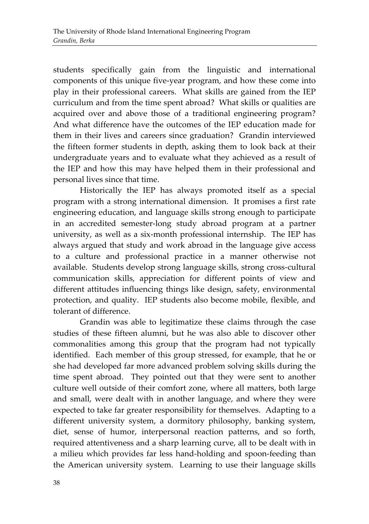students specifically gain from the linguistic and international components of this unique five-year program, and how these come into play in their professional careers. What skills are gained from the IEP curriculum and from the time spent abroad? What skills or qualities are acquired over and above those of a traditional engineering program? And what difference have the outcomes of the IEP education made for them in their lives and careers since graduation? Grandin interviewed the fifteen former students in depth, asking them to look back at their undergraduate years and to evaluate what they achieved as a result of the IEP and how this may have helped them in their professional and personal lives since that time.

Historically the IEP has always promoted itself as a special program with a strong international dimension. It promises a first rate engineering education, and language skills strong enough to participate in an accredited semester-long study abroad program at a partner university, as well as a six-month professional internship. The IEP has always argued that study and work abroad in the language give access to a culture and professional practice in a manner otherwise not available. Students develop strong language skills, strong cross-cultural communication skills, appreciation for different points of view and different attitudes influencing things like design, safety, environmental protection, and quality. IEP students also become mobile, flexible, and tolerant of difference.

Grandin was able to legitimatize these claims through the case studies of these fifteen alumni, but he was also able to discover other commonalities among this group that the program had not typically identified. Each member of this group stressed, for example, that he or she had developed far more advanced problem solving skills during the time spent abroad. They pointed out that they were sent to another culture well outside of their comfort zone, where all matters, both large and small, were dealt with in another language, and where they were expected to take far greater responsibility for themselves. Adapting to a different university system, a dormitory philosophy, banking system, diet, sense of humor, interpersonal reaction patterns, and so forth, required attentiveness and a sharp learning curve, all to be dealt with in a milieu which provides far less hand-holding and spoon-feeding than the American university system. Learning to use their language skills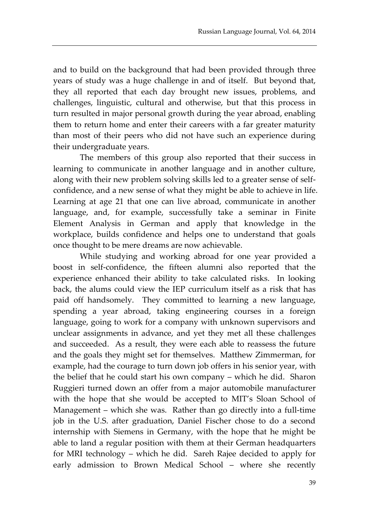and to build on the background that had been provided through three years of study was a huge challenge in and of itself. But beyond that, they all reported that each day brought new issues, problems, and challenges, linguistic, cultural and otherwise, but that this process in turn resulted in major personal growth during the year abroad, enabling them to return home and enter their careers with a far greater maturity than most of their peers who did not have such an experience during their undergraduate years.

The members of this group also reported that their success in learning to communicate in another language and in another culture, along with their new problem solving skills led to a greater sense of selfconfidence, and a new sense of what they might be able to achieve in life. Learning at age 21 that one can live abroad, communicate in another language, and, for example, successfully take a seminar in Finite Element Analysis in German and apply that knowledge in the workplace, builds confidence and helps one to understand that goals once thought to be mere dreams are now achievable.

While studying and working abroad for one year provided a boost in self-confidence, the fifteen alumni also reported that the experience enhanced their ability to take calculated risks. In looking back, the alums could view the IEP curriculum itself as a risk that has paid off handsomely. They committed to learning a new language, spending a year abroad, taking engineering courses in a foreign language, going to work for a company with unknown supervisors and unclear assignments in advance, and yet they met all these challenges and succeeded. As a result, they were each able to reassess the future and the goals they might set for themselves. Matthew Zimmerman, for example, had the courage to turn down job offers in his senior year, with the belief that he could start his own company – which he did. Sharon Ruggieri turned down an offer from a major automobile manufacturer with the hope that she would be accepted to MIT's Sloan School of Management – which she was. Rather than go directly into a full-time job in the U.S. after graduation, Daniel Fischer chose to do a second internship with Siemens in Germany, with the hope that he might be able to land a regular position with them at their German headquarters for MRI technology – which he did. Sareh Rajee decided to apply for early admission to Brown Medical School – where she recently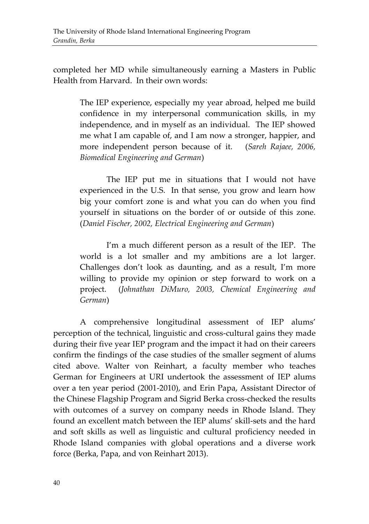completed her MD while simultaneously earning a Masters in Public Health from Harvard. In their own words:

> The IEP experience, especially my year abroad, helped me build confidence in my interpersonal communication skills, in my independence, and in myself as an individual. The IEP showed me what I am capable of, and I am now a stronger, happier, and more independent person because of it. (*Sareh Rajaee, 2006, Biomedical Engineering and German*)

> The IEP put me in situations that I would not have experienced in the U.S. In that sense, you grow and learn how big your comfort zone is and what you can do when you find yourself in situations on the border of or outside of this zone*.*  (*Daniel Fischer, 2002, Electrical Engineering and German*)

> I'm a much different person as a result of the IEP. The world is a lot smaller and my ambitions are a lot larger. Challenges don't look as daunting, and as a result, I'm more willing to provide my opinion or step forward to work on a project.(*Johnathan DiMuro, 2003, Chemical Engineering and German*)

A comprehensive longitudinal assessment of IEP alums' perception of the technical, linguistic and cross-cultural gains they made during their five year IEP program and the impact it had on their careers confirm the findings of the case studies of the smaller segment of alums cited above. Walter von Reinhart, a faculty member who teaches German for Engineers at URI undertook the assessment of IEP alums over a ten year period (2001-2010), and Erin Papa, Assistant Director of the Chinese Flagship Program and Sigrid Berka cross-checked the results with outcomes of a survey on company needs in Rhode Island. They found an excellent match between the IEP alums' skill-sets and the hard and soft skills as well as linguistic and cultural proficiency needed in Rhode Island companies with global operations and a diverse work force (Berka, Papa, and von Reinhart 2013).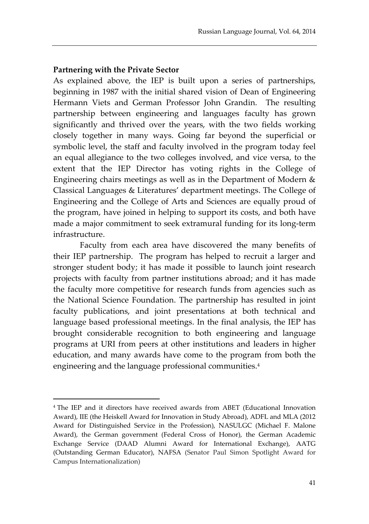#### **Partnering with the Private Sector**

 $\overline{a}$ 

As explained above, the IEP is built upon a series of partnerships, beginning in 1987 with the initial shared vision of Dean of Engineering Hermann Viets and German Professor John Grandin. The resulting partnership between engineering and languages faculty has grown significantly and thrived over the years, with the two fields working closely together in many ways. Going far beyond the superficial or symbolic level, the staff and faculty involved in the program today feel an equal allegiance to the two colleges involved, and vice versa, to the extent that the IEP Director has voting rights in the College of Engineering chairs meetings as well as in the Department of Modern & Classical Languages & Literatures' department meetings. The College of Engineering and the College of Arts and Sciences are equally proud of the program, have joined in helping to support its costs, and both have made a major commitment to seek extramural funding for its long-term infrastructure.

Faculty from each area have discovered the many benefits of their IEP partnership. The program has helped to recruit a larger and stronger student body; it has made it possible to launch joint research projects with faculty from partner institutions abroad; and it has made the faculty more competitive for research funds from agencies such as the National Science Foundation. The partnership has resulted in joint faculty publications, and joint presentations at both technical and language based professional meetings. In the final analysis, the IEP has brought considerable recognition to both engineering and language programs at URI from peers at other institutions and leaders in higher education, and many awards have come to the program from both the engineering and the language professional communities.<sup>4</sup>

<sup>4</sup> The IEP and it directors have received awards from ABET (Educational Innovation Award), IIE (the Heiskell Award for Innovation in Study Abroad), ADFL and MLA (2012 Award for Distinguished Service in the Profession), NASULGC (Michael F. Malone Award), the German government (Federal Cross of Honor), the German Academic Exchange Service (DAAD Alumni Award for International Exchange), AATG (Outstanding German Educator), NAFSA (Senator Paul Simon Spotlight Award for Campus Internationalization)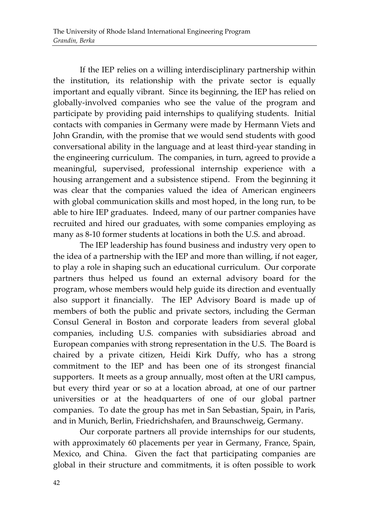If the IEP relies on a willing interdisciplinary partnership within the institution, its relationship with the private sector is equally important and equally vibrant. Since its beginning, the IEP has relied on globally-involved companies who see the value of the program and participate by providing paid internships to qualifying students. Initial contacts with companies in Germany were made by Hermann Viets and John Grandin, with the promise that we would send students with good conversational ability in the language and at least third-year standing in the engineering curriculum. The companies, in turn, agreed to provide a meaningful, supervised, professional internship experience with a housing arrangement and a subsistence stipend. From the beginning it was clear that the companies valued the idea of American engineers with global communication skills and most hoped, in the long run, to be able to hire IEP graduates. Indeed, many of our partner companies have recruited and hired our graduates, with some companies employing as many as 8-10 former students at locations in both the U.S. and abroad.

The IEP leadership has found business and industry very open to the idea of a partnership with the IEP and more than willing, if not eager, to play a role in shaping such an educational curriculum. Our corporate partners thus helped us found an external advisory board for the program, whose members would help guide its direction and eventually also support it financially. The IEP Advisory Board is made up of members of both the public and private sectors, including the German Consul General in Boston and corporate leaders from several global companies, including U.S. companies with subsidiaries abroad and European companies with strong representation in the U.S. The Board is chaired by a private citizen, Heidi Kirk Duffy, who has a strong commitment to the IEP and has been one of its strongest financial supporters. It meets as a group annually, most often at the URI campus, but every third year or so at a location abroad, at one of our partner universities or at the headquarters of one of our global partner companies. To date the group has met in San Sebastian, Spain, in Paris, and in Munich, Berlin, Friedrichshafen, and Braunschweig, Germany.

Our corporate partners all provide internships for our students, with approximately 60 placements per year in Germany, France, Spain, Mexico, and China. Given the fact that participating companies are global in their structure and commitments, it is often possible to work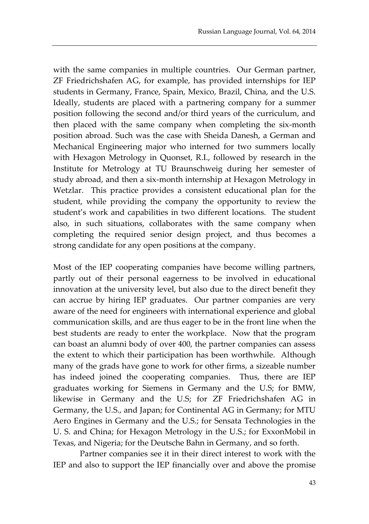with the same companies in multiple countries. Our German partner, ZF Friedrichshafen AG, for example, has provided internships for IEP students in Germany, France, Spain, Mexico, Brazil, China, and the U.S. Ideally, students are placed with a partnering company for a summer position following the second and/or third years of the curriculum, and then placed with the same company when completing the six-month position abroad. Such was the case with Sheida Danesh, a German and Mechanical Engineering major who interned for two summers locally with Hexagon Metrology in Quonset, R.I., followed by research in the Institute for Metrology at TU Braunschweig during her semester of study abroad, and then a six-month internship at Hexagon Metrology in Wetzlar. This practice provides a consistent educational plan for the student, while providing the company the opportunity to review the student's work and capabilities in two different locations. The student also, in such situations, collaborates with the same company when completing the required senior design project, and thus becomes a strong candidate for any open positions at the company.

Most of the IEP cooperating companies have become willing partners, partly out of their personal eagerness to be involved in educational innovation at the university level, but also due to the direct benefit they can accrue by hiring IEP graduates. Our partner companies are very aware of the need for engineers with international experience and global communication skills, and are thus eager to be in the front line when the best students are ready to enter the workplace. Now that the program can boast an alumni body of over 400, the partner companies can assess the extent to which their participation has been worthwhile. Although many of the grads have gone to work for other firms, a sizeable number has indeed joined the cooperating companies. Thus, there are IEP graduates working for Siemens in Germany and the U.S; for BMW, likewise in Germany and the U.S; for ZF Friedrichshafen AG in Germany, the U.S., and Japan; for Continental AG in Germany; for MTU Aero Engines in Germany and the U.S.; for Sensata Technologies in the U. S. and China; for Hexagon Metrology in the U.S.; for ExxonMobil in Texas, and Nigeria; for the Deutsche Bahn in Germany, and so forth.

Partner companies see it in their direct interest to work with the IEP and also to support the IEP financially over and above the promise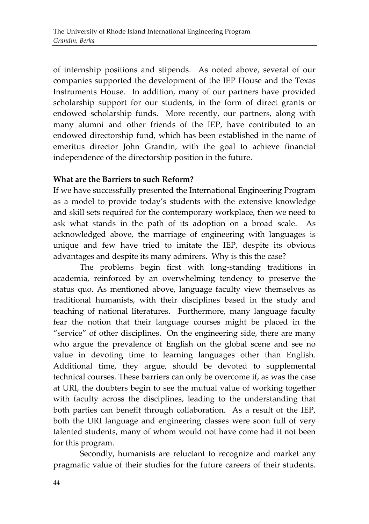of internship positions and stipends. As noted above, several of our companies supported the development of the IEP House and the Texas Instruments House. In addition, many of our partners have provided scholarship support for our students, in the form of direct grants or endowed scholarship funds. More recently, our partners, along with many alumni and other friends of the IEP, have contributed to an endowed directorship fund, which has been established in the name of emeritus director John Grandin, with the goal to achieve financial independence of the directorship position in the future.

## **What are the Barriers to such Reform?**

If we have successfully presented the International Engineering Program as a model to provide today's students with the extensive knowledge and skill sets required for the contemporary workplace, then we need to ask what stands in the path of its adoption on a broad scale. As acknowledged above, the marriage of engineering with languages is unique and few have tried to imitate the IEP, despite its obvious advantages and despite its many admirers. Why is this the case?

The problems begin first with long-standing traditions in academia, reinforced by an overwhelming tendency to preserve the status quo. As mentioned above, language faculty view themselves as traditional humanists, with their disciplines based in the study and teaching of national literatures. Furthermore, many language faculty fear the notion that their language courses might be placed in the "service" of other disciplines. On the engineering side, there are many who argue the prevalence of English on the global scene and see no value in devoting time to learning languages other than English. Additional time, they argue, should be devoted to supplemental technical courses. These barriers can only be overcome if, as was the case at URI, the doubters begin to see the mutual value of working together with faculty across the disciplines, leading to the understanding that both parties can benefit through collaboration. As a result of the IEP, both the URI language and engineering classes were soon full of very talented students, many of whom would not have come had it not been for this program.

Secondly, humanists are reluctant to recognize and market any pragmatic value of their studies for the future careers of their students.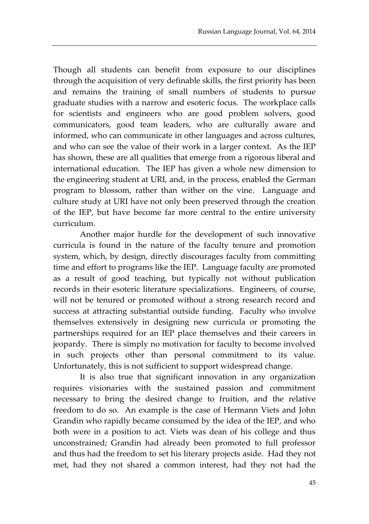Though all students can benefit from exposure to our disciplines through the acquisition of very definable skills, the first priority has been and remains the training of small numbers of students to pursue graduate studies with a narrow and esoteric focus. The workplace calls for scientists and engineers who are good problem solvers, good communicators, good team leaders, who are culturally aware and informed, who can communicate in other languages and across cultures, and who can see the value of their work in a larger context. As the IEP has shown, these are all qualities that emerge from a rigorous liberal and international education. The IEP has given a whole new dimension to the engineering student at URI, and, in the process, enabled the German program to blossom, rather than wither on the vine. Language and culture study at URI have not only been preserved through the creation of the IEP, but have become far more central to the entire university curriculum.

Another major hurdle for the development of such innovative curricula is found in the nature of the faculty tenure and promotion system, which, by design, directly discourages faculty from committing time and effort to programs like the IEP. Language faculty are promoted as a result of good teaching, but typically not without publication records in their esoteric literature specializations. Engineers, of course, will not be tenured or promoted without a strong research record and success at attracting substantial outside funding. Faculty who involve themselves extensively in designing new curricula or promoting the partnerships required for an IEP place themselves and their careers in jeopardy. There is simply no motivation for faculty to become involved in such projects other than personal commitment to its value. Unfortunately, this is not sufficient to support widespread change.

It is also true that significant innovation in any organization requires visionaries with the sustained passion and commitment necessary to bring the desired change to fruition, and the relative freedom to do so. An example is the case of Hermann Viets and John Grandin who rapidly became consumed by the idea of the IEP, and who both were in a position to act. Viets was dean of his college and thus unconstrained; Grandin had already been promoted to full professor and thus had the freedom to set his literary projects aside. Had they not met, had they not shared a common interest, had they not had the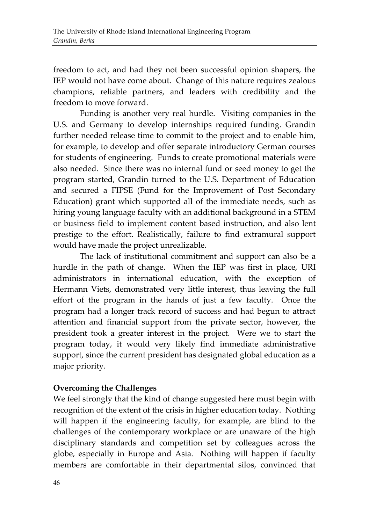freedom to act, and had they not been successful opinion shapers, the IEP would not have come about. Change of this nature requires zealous champions, reliable partners, and leaders with credibility and the freedom to move forward.

Funding is another very real hurdle. Visiting companies in the U.S. and Germany to develop internships required funding. Grandin further needed release time to commit to the project and to enable him, for example, to develop and offer separate introductory German courses for students of engineering. Funds to create promotional materials were also needed. Since there was no internal fund or seed money to get the program started, Grandin turned to the U.S. Department of Education and secured a FIPSE (Fund for the Improvement of Post Secondary Education) grant which supported all of the immediate needs, such as hiring young language faculty with an additional background in a STEM or business field to implement content based instruction, and also lent prestige to the effort. Realistically, failure to find extramural support would have made the project unrealizable.

The lack of institutional commitment and support can also be a hurdle in the path of change. When the IEP was first in place, URI administrators in international education, with the exception of Hermann Viets, demonstrated very little interest, thus leaving the full effort of the program in the hands of just a few faculty. Once the program had a longer track record of success and had begun to attract attention and financial support from the private sector, however, the president took a greater interest in the project. Were we to start the program today, it would very likely find immediate administrative support, since the current president has designated global education as a major priority.

#### **Overcoming the Challenges**

We feel strongly that the kind of change suggested here must begin with recognition of the extent of the crisis in higher education today. Nothing will happen if the engineering faculty, for example, are blind to the challenges of the contemporary workplace or are unaware of the high disciplinary standards and competition set by colleagues across the globe, especially in Europe and Asia. Nothing will happen if faculty members are comfortable in their departmental silos, convinced that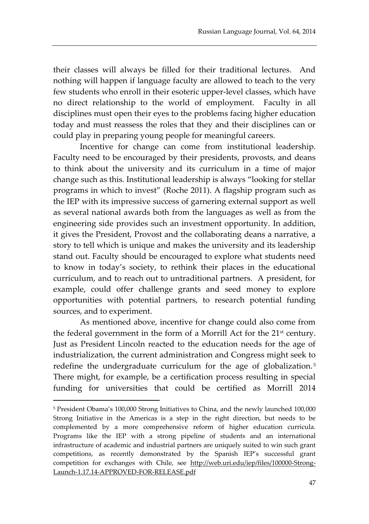their classes will always be filled for their traditional lectures. And nothing will happen if language faculty are allowed to teach to the very few students who enroll in their esoteric upper-level classes, which have no direct relationship to the world of employment. Faculty in all disciplines must open their eyes to the problems facing higher education today and must reassess the roles that they and their disciplines can or could play in preparing young people for meaningful careers.

Incentive for change can come from institutional leadership. Faculty need to be encouraged by their presidents, provosts, and deans to think about the university and its curriculum in a time of major change such as this. Institutional leadership is always "looking for stellar programs in which to invest" (Roche 2011). A flagship program such as the IEP with its impressive success of garnering external support as well as several national awards both from the languages as well as from the engineering side provides such an investment opportunity. In addition, it gives the President, Provost and the collaborating deans a narrative, a story to tell which is unique and makes the university and its leadership stand out. Faculty should be encouraged to explore what students need to know in today's society, to rethink their places in the educational curriculum, and to reach out to untraditional partners. A president, for example, could offer challenge grants and seed money to explore opportunities with potential partners, to research potential funding sources, and to experiment.

As mentioned above, incentive for change could also come from the federal government in the form of a Morrill Act for the 21st century. Just as President Lincoln reacted to the education needs for the age of industrialization, the current administration and Congress might seek to redefine the undergraduate curriculum for the age of globalization.<sup>5</sup> There might, for example, be a certification process resulting in special funding for universities that could be certified as Morrill 2014

 $\overline{a}$ 

<sup>5</sup> President Obama's 100,000 Strong Initiatives to China, and the newly launched 100,000 Strong Initiative in the Americas is a step in the right direction, but needs to be complemented by a more comprehensive reform of higher education curricula. Programs like the IEP with a strong pipeline of students and an international infrastructure of academic and industrial partners are uniquely suited to win such grant competitions, as recently demonstrated by the Spanish IEP's successful grant competition for exchanges with Chile, see http://web.uri.edu/iep/files/100000-Strong-Launch-1.17.14-APPROVED-FOR-RELEASE.pdf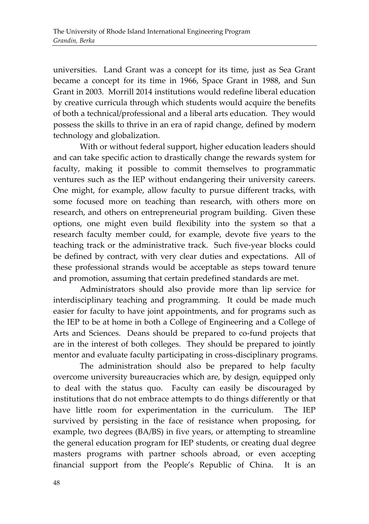universities. Land Grant was a concept for its time, just as Sea Grant became a concept for its time in 1966, Space Grant in 1988, and Sun Grant in 2003. Morrill 2014 institutions would redefine liberal education by creative curricula through which students would acquire the benefits of both a technical/professional and a liberal arts education. They would possess the skills to thrive in an era of rapid change, defined by modern technology and globalization.

With or without federal support, higher education leaders should and can take specific action to drastically change the rewards system for faculty, making it possible to commit themselves to programmatic ventures such as the IEP without endangering their university careers. One might, for example, allow faculty to pursue different tracks, with some focused more on teaching than research, with others more on research, and others on entrepreneurial program building. Given these options, one might even build flexibility into the system so that a research faculty member could, for example, devote five years to the teaching track or the administrative track. Such five-year blocks could be defined by contract, with very clear duties and expectations. All of these professional strands would be acceptable as steps toward tenure and promotion, assuming that certain predefined standards are met.

Administrators should also provide more than lip service for interdisciplinary teaching and programming. It could be made much easier for faculty to have joint appointments, and for programs such as the IEP to be at home in both a College of Engineering and a College of Arts and Sciences. Deans should be prepared to co-fund projects that are in the interest of both colleges. They should be prepared to jointly mentor and evaluate faculty participating in cross-disciplinary programs.

The administration should also be prepared to help faculty overcome university bureaucracies which are, by design, equipped only to deal with the status quo. Faculty can easily be discouraged by institutions that do not embrace attempts to do things differently or that have little room for experimentation in the curriculum. The IEP survived by persisting in the face of resistance when proposing, for example, two degrees (BA/BS) in five years, or attempting to streamline the general education program for IEP students, or creating dual degree masters programs with partner schools abroad, or even accepting financial support from the People's Republic of China. It is an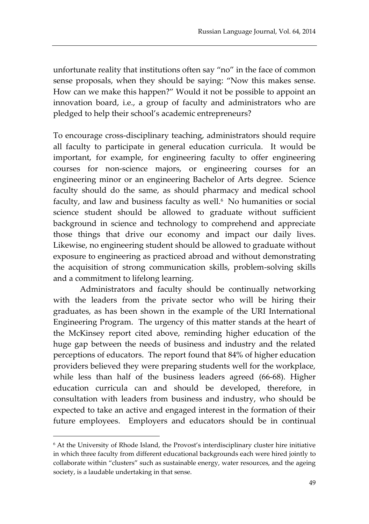unfortunate reality that institutions often say "no" in the face of common sense proposals, when they should be saying: "Now this makes sense. How can we make this happen?" Would it not be possible to appoint an innovation board, i.e., a group of faculty and administrators who are pledged to help their school's academic entrepreneurs?

To encourage cross-disciplinary teaching, administrators should require all faculty to participate in general education curricula. It would be important, for example, for engineering faculty to offer engineering courses for non-science majors, or engineering courses for an engineering minor or an engineering Bachelor of Arts degree. Science faculty should do the same, as should pharmacy and medical school faculty, and law and business faculty as well.<sup>6</sup> No humanities or social science student should be allowed to graduate without sufficient background in science and technology to comprehend and appreciate those things that drive our economy and impact our daily lives. Likewise, no engineering student should be allowed to graduate without exposure to engineering as practiced abroad and without demonstrating the acquisition of strong communication skills, problem-solving skills and a commitment to lifelong learning.

Administrators and faculty should be continually networking with the leaders from the private sector who will be hiring their graduates, as has been shown in the example of the URI International Engineering Program. The urgency of this matter stands at the heart of the McKinsey report cited above, reminding higher education of the huge gap between the needs of business and industry and the related perceptions of educators. The report found that 84% of higher education providers believed they were preparing students well for the workplace, while less than half of the business leaders agreed (66-68). Higher education curricula can and should be developed, therefore, in consultation with leaders from business and industry, who should be expected to take an active and engaged interest in the formation of their future employees. Employers and educators should be in continual

 $\overline{a}$ 

<sup>6</sup> At the University of Rhode Island, the Provost's interdisciplinary cluster hire initiative in which three faculty from different educational backgrounds each were hired jointly to collaborate within "clusters" such as sustainable energy, water resources, and the ageing society, is a laudable undertaking in that sense.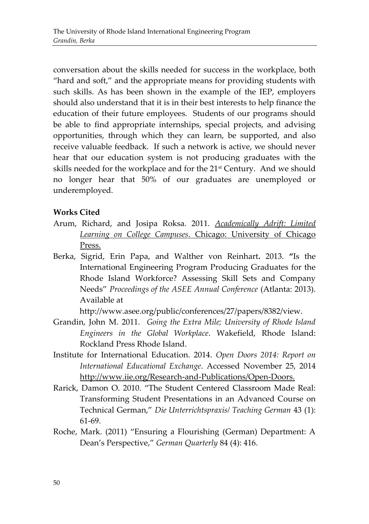conversation about the skills needed for success in the workplace, both "hard and soft," and the appropriate means for providing students with such skills. As has been shown in the example of the IEP, employers should also understand that it is in their best interests to help finance the education of their future employees. Students of our programs should be able to find appropriate internships, special projects, and advising opportunities, through which they can learn, be supported, and also receive valuable feedback. If such a network is active, we should never hear that our education system is not producing graduates with the skills needed for the workplace and for the 21st Century. And we should no longer hear that 50% of our graduates are unemployed or underemployed.

## **Works Cited**

- Arum, Richard, and Josipa Roksa. 2011. *Academically Adrift: Limited Learning on College Campuses*. Chicago: University of Chicago Press.
- Berka, Sigrid, Erin Papa, and Walther von Reinhart**.** 2013. **"**Is the International Engineering Program Producing Graduates for the Rhode Island Workforce? Assessing Skill Sets and Company Needs" *Proceedings of the ASEE Annual Conference* (Atlanta: 2013). Available at

http://www.asee.org/public/conferences/27/papers/8382/view.

- Grandin, John M. 2011. *Going the Extra Mile; University of Rhode Island Engineers in the Global Workplace*. Wakefield, Rhode Island: Rockland Press Rhode Island.
- Institute for International Education. 2014. *Open Doors 2014: Report on International Educational Exchange*. Accessed November 25, 2014 http://www.iie.org/Research-and-Publications/Open-Doors.
- Rarick, Damon O. 2010. "The Student Centered Classroom Made Real: Transforming Student Presentations in an Advanced Course on Technical German," *Die Unterrichtspraxis/ Teaching German* 43 (1): 61-69.
- Roche, Mark. (2011) "Ensuring a Flourishing (German) Department: A Dean's Perspective," *German Quarterly* 84 (4): 416.